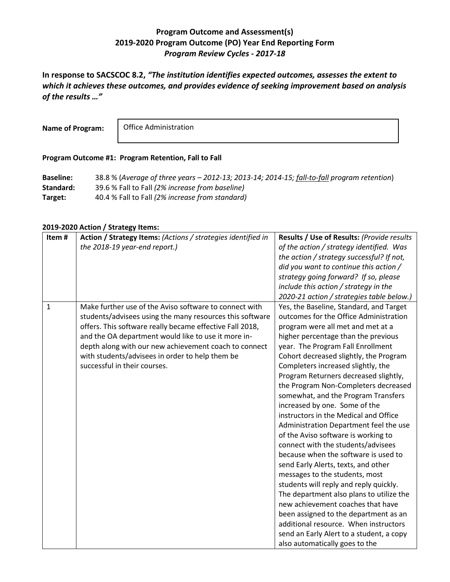## **Program Outcome and Assessment(s) 2019-2020 Program Outcome (PO) Year End Reporting Form** *Program Review Cycles - 2017-18*

**In response to SACSCOC 8.2,** *"The institution identifies expected outcomes, assesses the extent to which it achieves these outcomes, and provides evidence of seeking improvement based on analysis of the results …"*

**Name of Program:**

Office Administration

## **Program Outcome #1: Program Retention, Fall to Fall**

**Baseline:** 38.8 % (*Average of three years – 2012-13; 2013-14; 2014-15; fall-to-fall program retention*) **Standard:** 39.6 % Fall to Fall *(2% increase from baseline)* **Target:** 40.4 % Fall to Fall *(2% increase from standard)*

## **2019-2020 Action / Strategy Items:**

| Item#       | Action / Strategy Items: (Actions / strategies identified in<br>the 2018-19 year-end report.) | Results / Use of Results: (Provide results<br>of the action / strategy identified. Was |
|-------------|-----------------------------------------------------------------------------------------------|----------------------------------------------------------------------------------------|
|             |                                                                                               | the action / strategy successful? If not,                                              |
|             |                                                                                               | did you want to continue this action /                                                 |
|             |                                                                                               | strategy going forward? If so, please                                                  |
|             |                                                                                               | include this action / strategy in the                                                  |
|             |                                                                                               | 2020-21 action / strategies table below.)                                              |
| $\mathbf 1$ | Make further use of the Aviso software to connect with                                        | Yes, the Baseline, Standard, and Target                                                |
|             | students/advisees using the many resources this software                                      | outcomes for the Office Administration                                                 |
|             | offers. This software really became effective Fall 2018,                                      | program were all met and met at a                                                      |
|             | and the OA department would like to use it more in-                                           | higher percentage than the previous                                                    |
|             | depth along with our new achievement coach to connect                                         | year. The Program Fall Enrollment                                                      |
|             | with students/advisees in order to help them be                                               | Cohort decreased slightly, the Program                                                 |
|             | successful in their courses.                                                                  | Completers increased slightly, the                                                     |
|             |                                                                                               | Program Returners decreased slightly,                                                  |
|             |                                                                                               | the Program Non-Completers decreased                                                   |
|             |                                                                                               | somewhat, and the Program Transfers                                                    |
|             |                                                                                               | increased by one. Some of the                                                          |
|             |                                                                                               | instructors in the Medical and Office                                                  |
|             |                                                                                               | Administration Department feel the use                                                 |
|             |                                                                                               | of the Aviso software is working to                                                    |
|             |                                                                                               | connect with the students/advisees                                                     |
|             |                                                                                               | because when the software is used to                                                   |
|             |                                                                                               | send Early Alerts, texts, and other                                                    |
|             |                                                                                               | messages to the students, most                                                         |
|             |                                                                                               | students will reply and reply quickly.                                                 |
|             |                                                                                               | The department also plans to utilize the                                               |
|             |                                                                                               | new achievement coaches that have                                                      |
|             |                                                                                               | been assigned to the department as an                                                  |
|             |                                                                                               | additional resource. When instructors                                                  |
|             |                                                                                               | send an Early Alert to a student, a copy                                               |
|             |                                                                                               | also automatically goes to the                                                         |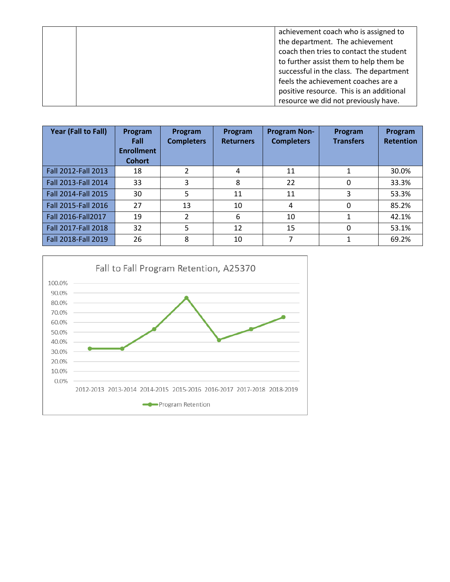|  | achievement coach who is assigned to     |
|--|------------------------------------------|
|  | the department. The achievement          |
|  | coach then tries to contact the student  |
|  | to further assist them to help them be   |
|  | successful in the class. The department  |
|  | feels the achievement coaches are a      |
|  | positive resource. This is an additional |
|  | resource we did not previously have.     |

| Year (Fall to Fall) | Program<br>Fall<br><b>Enrollment</b><br><b>Cohort</b> | Program<br><b>Completers</b> | Program<br><b>Returners</b> | <b>Program Non-</b><br><b>Completers</b> | Program<br><b>Transfers</b> | Program<br><b>Retention</b> |
|---------------------|-------------------------------------------------------|------------------------------|-----------------------------|------------------------------------------|-----------------------------|-----------------------------|
| Fall 2012-Fall 2013 | 18                                                    | 2                            | 4                           | 11                                       |                             | 30.0%                       |
| Fall 2013-Fall 2014 | 33                                                    | 3                            | 8                           | 22                                       | 0                           | 33.3%                       |
| Fall 2014-Fall 2015 | 30                                                    | 5                            | 11                          | 11                                       | 3                           | 53.3%                       |
| Fall 2015-Fall 2016 | 27                                                    | 13                           | 10                          | 4                                        | 0                           | 85.2%                       |
| Fall 2016-Fall 2017 | 19                                                    | 2                            | 6                           | 10                                       |                             | 42.1%                       |
| Fall 2017-Fall 2018 | 32                                                    | 5                            | 12                          | 15                                       | 0                           | 53.1%                       |
| Fall 2018-Fall 2019 | 26                                                    | 8                            | 10                          |                                          |                             | 69.2%                       |